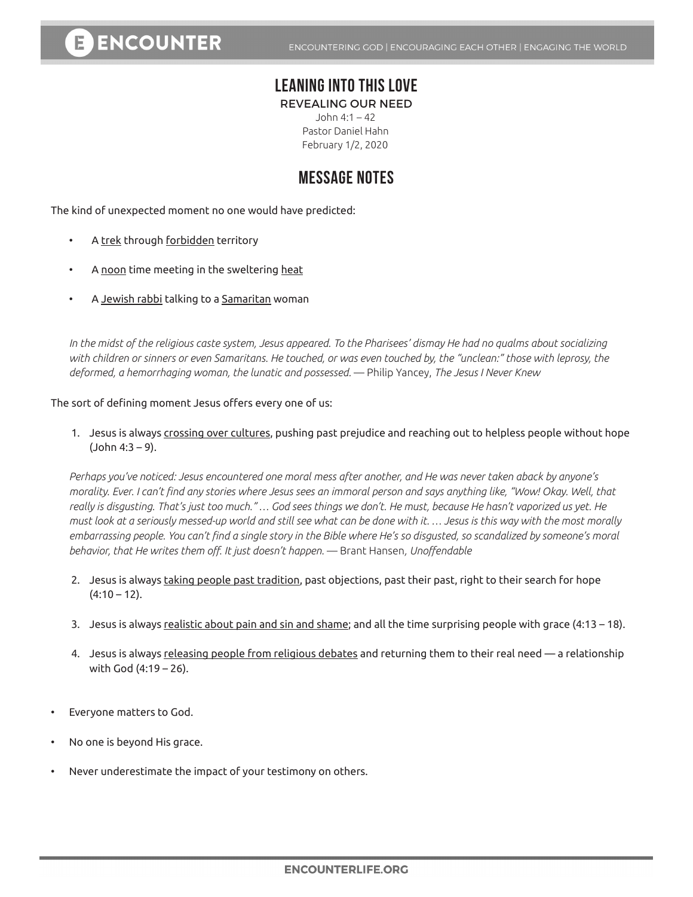## **LEANING INTO THIS LOVE**

REVEALING OUR NEED

John 4:1 – 42 Pastor Daniel Hahn February 1/2, 2020

## **MESSAGE NOTES**

The kind of unexpected moment no one would have predicted:

- A trek through forbidden territory
- A noon time meeting in the sweltering heat
- A Jewish rabbi talking to a Samaritan woman

*In the midst of the religious caste system, Jesus appeared. To the Pharisees' dismay He had no qualms about socializing with children or sinners or even Samaritans. He touched, or was even touched by, the "unclean:" those with leprosy, the deformed, a hemorrhaging woman, the lunatic and possessed.* — Philip Yancey, *The Jesus I Never Knew*

The sort of defining moment Jesus offers every one of us:

1. Jesus is always crossing over cultures, pushing past prejudice and reaching out to helpless people without hope (John 4:3 – 9).

*Perhaps you've noticed: Jesus encountered one moral mess after another, and He was never taken aback by anyone's morality. Ever. I can't find any stories where Jesus sees an immoral person and says anything like, "Wow! Okay. Well, that really is disgusting. That's just too much." … God sees things we don't. He must, because He hasn't vaporized us yet. He must look at a seriously messed-up world and still see what can be done with it. … Jesus is this way with the most morally embarrassing people. You can't find a single story in the Bible where He's so disgusted, so scandalized by someone's moral behavior, that He writes them off. It just doesn't happen.* — Brant Hansen*, Unoffendable*

- 2. Jesus is always taking people past tradition, past objections, past their past, right to their search for hope  $(4:10 - 12)$ .
- 3. Jesus is always realistic about pain and sin and shame; and all the time surprising people with grace (4:13 18).
- 4. Jesus is always releasing people from religious debates and returning them to their real need a relationship with God (4:19 – 26).
- Everyone matters to God.
- No one is beyond His grace.
- Never underestimate the impact of your testimony on others.